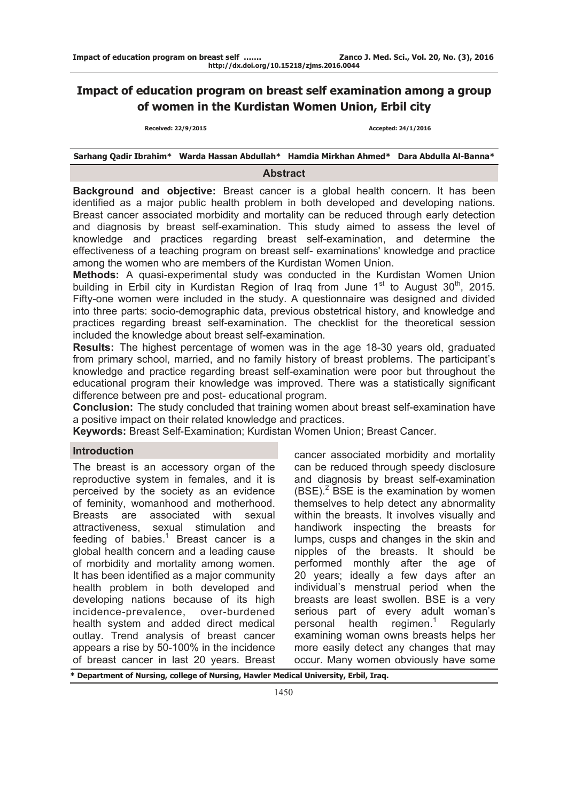# **Impact of education program on breast self examination among a group of women in the Kurdistan Women Union, Erbil city**

 **Received: 22/9/2015 Accepted: 24/1/2016**

# **Sarhang Qadir Ibrahim\* Warda Hassan Abdullah\* Hamdia Mirkhan Ahmed\* Dara Abdulla Al-Banna\***

#### **Abstract**

**Background and objective:** Breast cancer is a global health concern. It has been identified as a major public health problem in both developed and developing nations. Breast cancer associated morbidity and mortality can be reduced through early detection and diagnosis by breast self-examination. This study aimed to assess the level of knowledge and practices regarding breast self-examination, and determine the effectiveness of a teaching program on breast self- examinations' knowledge and practice among the women who are members of the Kurdistan Women Union.

**Methods:** A quasi-experimental study was conducted in the Kurdistan Women Union building in Erbil city in Kurdistan Region of Iraq from June 1<sup>st</sup> to August 30<sup>th</sup>, 2015. Fifty-one women were included in the study. A questionnaire was designed and divided into three parts: socio-demographic data, previous obstetrical history, and knowledge and practices regarding breast self-examination. The checklist for the theoretical session included the knowledge about breast self-examination.

**Results:** The highest percentage of women was in the age 18-30 years old, graduated from primary school, married, and no family history of breast problems. The participant's knowledge and practice regarding breast self-examination were poor but throughout the educational program their knowledge was improved. There was a statistically significant difference between pre and post- educational program.

**Conclusion:** The study concluded that training women about breast self-examination have a positive impact on their related knowledge and practices.

**Keywords:** Breast Self-Examination; Kurdistan Women Union; Breast Cancer.

# **Introduction**

The breast is an accessory organ of the reproductive system in females, and it is perceived by the society as an evidence of feminity, womanhood and motherhood. Breasts are associated with sexual attractiveness, sexual stimulation and feeding of babies. $1$  Breast cancer is a global health concern and a leading cause of morbidity and mortality among women. It has been identified as a major community health problem in both developed and developing nations because of its high incidence-prevalence, over-burdened health system and added direct medical outlay. Trend analysis of breast cancer appears a rise by 50-100% in the incidence of breast cancer in last 20 years. Breast

cancer associated morbidity and mortality can be reduced through speedy disclosure and diagnosis by breast self-examination  $(BSE)<sup>2</sup>$  BSE is the examination by women themselves to help detect any abnormality within the breasts. It involves visually and handiwork inspecting the breasts for lumps, cusps and changes in the skin and nipples of the breasts. It should be performed monthly after the age of 20 years; ideally a few days after an individual's menstrual period when the breasts are least swollen. BSE is a very serious part of every adult woman's personal health regimen. $1$ **Regularly** examining woman owns breasts helps her more easily detect any changes that may occur. Many women obviously have some

**\* Department of Nursing, college of Nursing, Hawler Medical University, Erbil, Iraq.**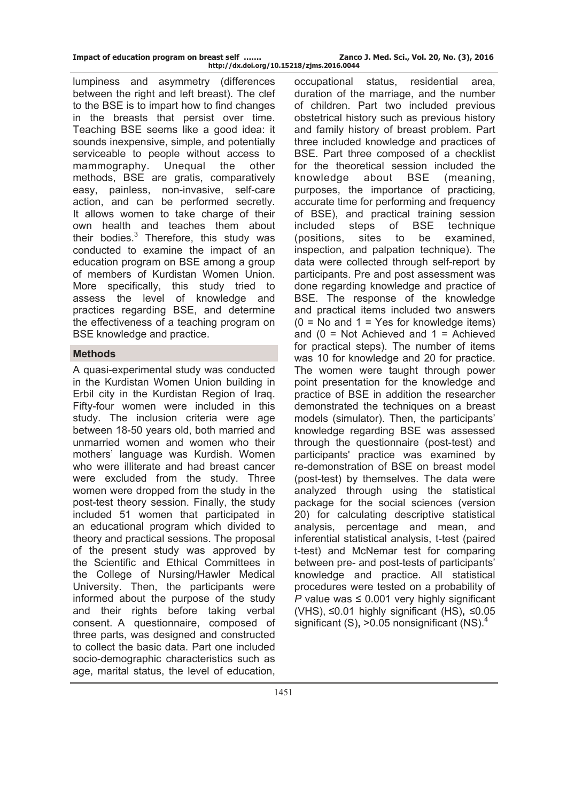| Impact of education program on breast self | Zanco J. Med. Sci., Vol. 20, No. (3), 2016 |
|--------------------------------------------|--------------------------------------------|
| http://dx.doi.org/10.15218/zjms.2016.0044  |                                            |

lumpiness and asymmetry (differences between the right and left breast). The clef to the BSE is to impart how to find changes in the breasts that persist over time. Teaching BSE seems like a good idea: it sounds inexpensive, simple, and potentially serviceable to people without access to mammography. Unequal the other methods, BSE are gratis, comparatively easy, painless, non-invasive, self-care action, and can be performed secretly. It allows women to take charge of their own health and teaches them about their bodies. $3$  Therefore, this study was conducted to examine the impact of an education program on BSE among a group of members of Kurdistan Women Union. More specifically, this study tried to assess the level of knowledge and practices regarding BSE, and determine the effectiveness of a teaching program on BSE knowledge and practice.

## **Methods**

A quasi-experimental study was conducted in the Kurdistan Women Union building in Erbil city in the Kurdistan Region of Iraq. Fifty-four women were included in this study. The inclusion criteria were age between 18-50 years old, both married and unmarried women and women who their mothers' language was Kurdish. Women who were illiterate and had breast cancer were excluded from the study. Three women were dropped from the study in the post-test theory session. Finally, the study included 51 women that participated in an educational program which divided to theory and practical sessions. The proposal of the present study was approved by the Scientific and Ethical Committees in the College of Nursing/Hawler Medical University. Then, the participants were informed about the purpose of the study and their rights before taking verbal consent. A questionnaire, composed of three parts, was designed and constructed to collect the basic data. Part one included socio-demographic characteristics such as age, marital status, the level of education,

occupational status, residential area, duration of the marriage, and the number of children. Part two included previous obstetrical history such as previous history and family history of breast problem. Part three included knowledge and practices of BSE. Part three composed of a checklist for the theoretical session included the knowledge about BSE (meaning, purposes, the importance of practicing, accurate time for performing and frequency of BSE), and practical training session included steps of BSE technique (positions, sites to be examined, inspection, and palpation technique). The data were collected through self-report by participants. Pre and post assessment was done regarding knowledge and practice of BSE. The response of the knowledge and practical items included two answers  $(0 = No$  and  $1 = Yes$  for knowledge items) and  $(0 = Not$  Achieved and  $1 =$  Achieved for practical steps). The number of items was 10 for knowledge and 20 for practice. The women were taught through power point presentation for the knowledge and practice of BSE in addition the researcher demonstrated the techniques on a breast models (simulator). Then, the participants' knowledge regarding BSE was assessed through the questionnaire (post-test) and participants' practice was examined by re-demonstration of BSE on breast model (post-test) by themselves. The data were analyzed through using the statistical package for the social sciences (version 20) for calculating descriptive statistical analysis, percentage and mean, and inferential statistical analysis, t-test (paired t-test) and McNemar test for comparing between pre- and post-tests of participants' knowledge and practice. All statistical procedures were tested on a probability of *P* value was  $\leq 0.001$  very highly significant (VHS), ≤0.01 highly significant (HS)**,** ≤0.05 significant (S)**,** >0.05 nonsignificant (NS).<sup>4</sup>  $\ddot{\phantom{a}}$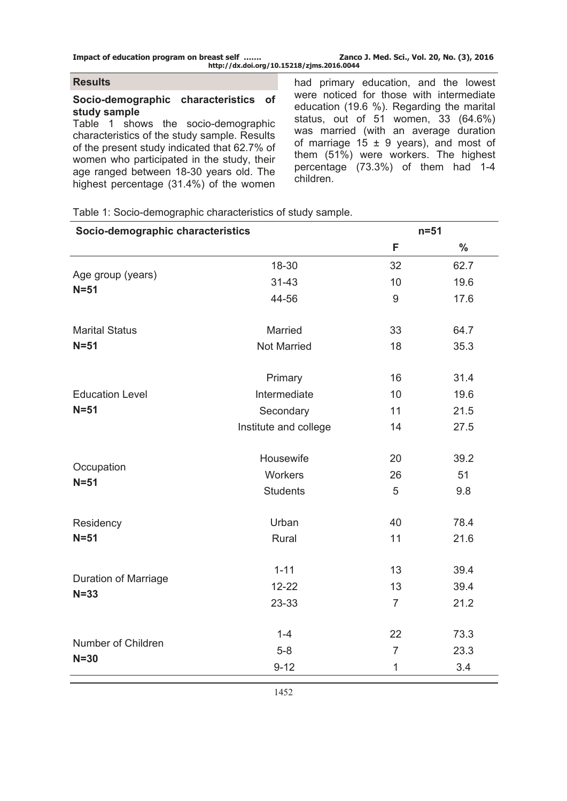**Impact of education program on breast self ……. Zanco J. Med. Sci., Vol. 20, No. (3), 2016 http://dx.doi.org/10.15218/zjms.2016.0044**

#### **Results**

#### **Socio-demographic characteristics of study sample**

Table 1 shows the socio-demographic characteristics of the study sample. Results of the present study indicated that 62.7% of women who participated in the study, their age ranged between 18-30 years old. The highest percentage (31.4%) of the women had primary education, and the lowest were noticed for those with intermediate education (19.6 %). Regarding the marital status, out of 51 women, 33 (64.6%) was married (with an average duration of marriage 15  $\pm$  9 years), and most of them (51%) were workers. The highest percentage (73.3%) of them had 1-4 children.

Table 1: Socio-demographic characteristics of study sample.

| Socio-demographic characteristics |                       | $n=51$         |               |  |  |
|-----------------------------------|-----------------------|----------------|---------------|--|--|
|                                   |                       | F              | $\frac{0}{0}$ |  |  |
|                                   | 18-30                 | 32             | 62.7          |  |  |
| Age group (years)<br>$N=51$       | $31 - 43$             | 10             | 19.6          |  |  |
|                                   | 44-56                 | 9              | 17.6          |  |  |
| <b>Marital Status</b>             | Married               | 33             | 64.7          |  |  |
| $N = 51$                          | <b>Not Married</b>    | 18             | 35.3          |  |  |
|                                   | Primary               | 16             | 31.4          |  |  |
| <b>Education Level</b>            | Intermediate          | 10             | 19.6          |  |  |
| $N = 51$                          | Secondary             | 11             | 21.5          |  |  |
|                                   | Institute and college | 14             | 27.5          |  |  |
|                                   | Housewife             | 20             | 39.2          |  |  |
| Occupation<br>$N = 51$            | Workers               | 26             | 51            |  |  |
|                                   | <b>Students</b>       | 5              | 9.8           |  |  |
| Residency                         | Urban                 | 40             | 78.4          |  |  |
| $N=51$                            | Rural                 | 11             | 21.6          |  |  |
|                                   | $1 - 11$              | 13             | 39.4          |  |  |
| Duration of Marriage<br>$N = 33$  | $12 - 22$             | 13             | 39.4          |  |  |
|                                   | 23-33                 | $\overline{7}$ | 21.2          |  |  |
|                                   | $1 - 4$               | 22             | 73.3          |  |  |
| Number of Children                | $5-8$                 | $\overline{7}$ | 23.3          |  |  |
| $N = 30$                          | $9 - 12$              | $\mathbf 1$    | 3.4           |  |  |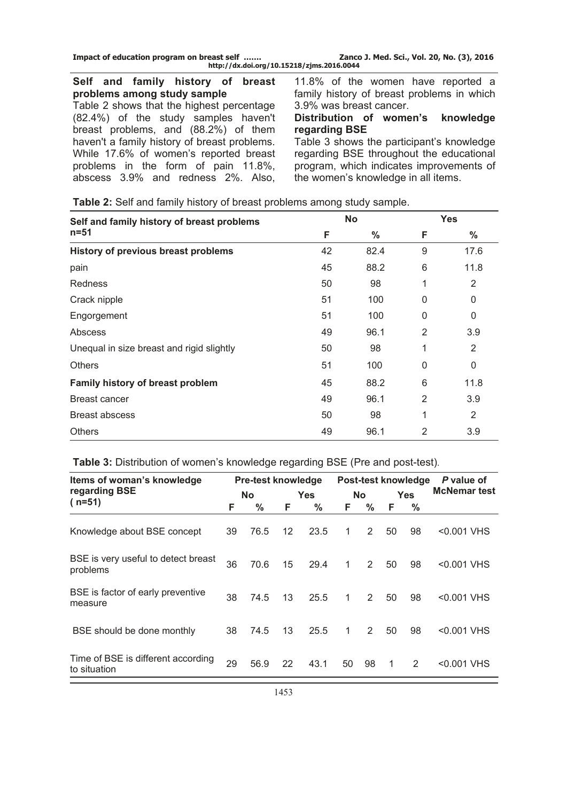| Impact of education program on breast self | Zanco J. Med. Sci., Vol. 20, No. (3), 2016 |
|--------------------------------------------|--------------------------------------------|
| http://dx.doi.org/10.15218/zjms.2016.0044  |                                            |

**Self and family history of breast problems among study sample**  Table 2 shows that the highest percentage (82.4%) of the study samples haven't breast problems, and (88.2%) of them haven't a family history of breast problems. While 17.6% of women's reported breast problems in the form of pain 11.8%, abscess 3.9% and redness 2%. Also,

11.8% of the women have reported a family history of breast problems in which 3.9% was breast cancer.

#### **Distribution of women's knowledge regarding BSE**

Table 3 shows the participant's knowledge regarding BSE throughout the educational program, which indicates improvements of the women's knowledge in all items.

| Self and family history of breast problems |    | <b>No</b> | <b>Yes</b>   |                |  |
|--------------------------------------------|----|-----------|--------------|----------------|--|
| $n = 51$                                   | F  | $\%$      | F            | $\%$           |  |
| History of previous breast problems        | 42 | 82.4      | 9            | 17.6           |  |
| pain                                       | 45 | 88.2      | 6            | 11.8           |  |
| <b>Redness</b>                             | 50 | 98        | 1            | 2              |  |
| Crack nipple                               | 51 | 100       | $\Omega$     | 0              |  |
| Engorgement                                | 51 | 100       | $\mathbf{0}$ | 0              |  |
| Abscess                                    | 49 | 96.1      | 2            | 3.9            |  |
| Unequal in size breast and rigid slightly  | 50 | 98        | 1            | 2              |  |
| <b>Others</b>                              | 51 | 100       | $\mathbf{0}$ | 0              |  |
| Family history of breast problem           | 45 | 88.2      | 6            | 11.8           |  |
| Breast cancer                              | 49 | 96.1      | 2            | 3.9            |  |
| Breast abscess                             | 50 | 98        | 1            | $\overline{2}$ |  |
| <b>Others</b>                              | 49 | 96.1      | 2            | 3.9            |  |

**Table 2:** Self and family history of breast problems among study sample.

| Items of woman's knowledge                         |    | <b>Pre-test knowledge</b> | Post-test knowledge |            |    | P value of |    |            |                     |
|----------------------------------------------------|----|---------------------------|---------------------|------------|----|------------|----|------------|---------------------|
| regarding BSE                                      |    | No                        |                     | <b>Yes</b> |    | <b>No</b>  |    | <b>Yes</b> | <b>McNemar test</b> |
| $(n=51)$                                           | F  | ℅                         | F.                  | $\%$       | F. | ℅          | F. | ℅          |                     |
| Knowledge about BSE concept                        | 39 | 76.5                      | $12 \overline{ }$   | 23.5       | 1  | 2          | 50 | 98         | <0.001 VHS          |
| BSE is very useful to detect breast<br>problems    | 36 | 70.6                      | 15                  | 29.4       | 1  | 2          | 50 | 98         | <0.001 VHS          |
| BSE is factor of early preventive<br>measure       | 38 | 74.5                      | 13                  | 25.5       | 1  | 2          | 50 | 98         | <0.001 VHS          |
| BSE should be done monthly                         | 38 | 74.5                      | 13                  | 25.5       | 1  | 2          | 50 | 98         | <0.001 VHS          |
| Time of BSE is different according<br>to situation | 29 | 56.9                      | 22                  | 43.1       | 50 | 98         | 1  | 2          | <0.001 VHS          |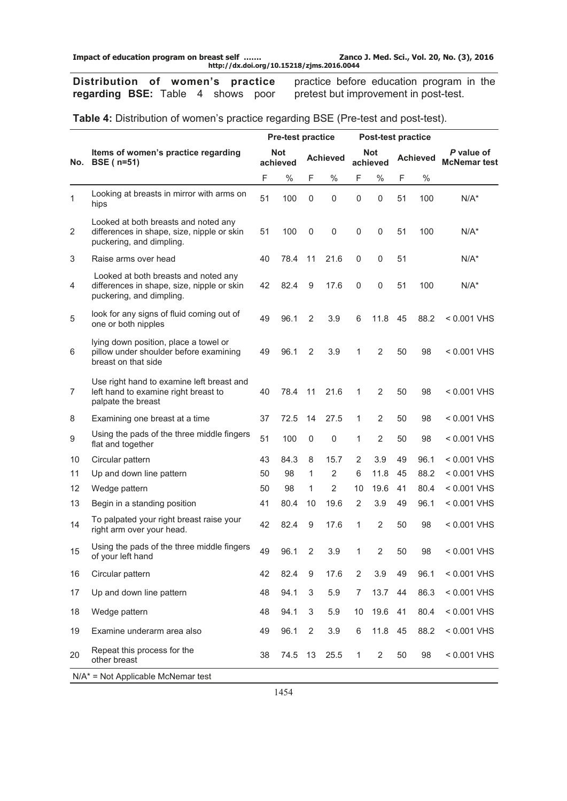**Distribution of women's practice regarding BSE:** Table 4 shows poor

practice before education program in the pretest but improvement in post-test.

|              |                                                                                                                | <b>Pre-test practice</b><br>Post-test practice |                        |                |                 |                |                 |    |                 |                                   |
|--------------|----------------------------------------------------------------------------------------------------------------|------------------------------------------------|------------------------|----------------|-----------------|----------------|-----------------|----|-----------------|-----------------------------------|
| No.          | Items of women's practice regarding<br><b>BSE</b> ( $n=51$ )                                                   |                                                | <b>Not</b><br>achieved |                | <b>Achieved</b> |                | Not<br>achieved |    | <b>Achieved</b> | P value of<br><b>McNemar test</b> |
|              |                                                                                                                | F                                              | $\%$                   | F              | $\%$            | F              | $\%$            | F  | $\%$            |                                   |
| $\mathbf{1}$ | Looking at breasts in mirror with arms on<br>hips                                                              | 51                                             | 100                    | 0              | 0               | 0              | 0               | 51 | 100             | $N/A^*$                           |
| 2            | Looked at both breasts and noted any<br>differences in shape, size, nipple or skin<br>puckering, and dimpling. | 51                                             | 100                    | 0              | $\mathbf 0$     | 0              | 0               | 51 | 100             | $N/A^*$                           |
| 3            | Raise arms over head                                                                                           | 40                                             | 78.4                   | 11             | 21.6            | $\mathbf 0$    | 0               | 51 |                 | $N/A^*$                           |
| 4            | Looked at both breasts and noted any<br>differences in shape, size, nipple or skin<br>puckering, and dimpling. | 42                                             | 82.4                   | 9              | 17.6            | $\mathbf 0$    | 0               | 51 | 100             | $N/A^*$                           |
| 5            | look for any signs of fluid coming out of<br>one or both nipples                                               | 49                                             | 96.1                   | $\overline{2}$ | 3.9             | 6              | 11.8            | 45 | 88.2            | < 0.001 VHS                       |
| 6            | lying down position, place a towel or<br>pillow under shoulder before examining<br>breast on that side         | 49                                             | 96.1                   | $\overline{2}$ | 3.9             | 1              | 2               | 50 | 98              | $< 0.001$ VHS                     |
| 7            | Use right hand to examine left breast and<br>left hand to examine right breast to<br>palpate the breast        | 40                                             | 78.4                   | 11             | 21.6            | 1              | 2               | 50 | 98              | < 0.001 VHS                       |
| 8            | Examining one breast at a time                                                                                 | 37                                             | 72.5                   | 14             | 27.5            | 1              | $\overline{2}$  | 50 | 98              | < 0.001 VHS                       |
| 9            | Using the pads of the three middle fingers<br>flat and together                                                | 51                                             | 100                    | 0              | $\mathbf 0$     | 1              | $\overline{2}$  | 50 | 98              | < 0.001 VHS                       |
| 10           | Circular pattern                                                                                               | 43                                             | 84.3                   | 8              | 15.7            | 2              | 3.9             | 49 | 96.1            | < 0.001 VHS                       |
| 11           | Up and down line pattern                                                                                       | 50                                             | 98                     | 1              | 2               | 6              | 11.8            | 45 | 88.2            | < 0.001 VHS                       |
| 12           | Wedge pattern                                                                                                  | 50                                             | 98                     | 1              | 2               | 10             | 19.6            | 41 | 80.4            | $< 0.001$ VHS                     |
| 13           | Begin in a standing position                                                                                   | 41                                             | 80.4                   | 10             | 19.6            | 2              | 3.9             | 49 | 96.1            | < 0.001 VHS                       |
| 14           | To palpated your right breast raise your<br>right arm over your head.                                          | 42                                             | 82.4                   | 9              | 17.6            | 1              | $\overline{2}$  | 50 | 98              | < 0.001 VHS                       |
| 15           | Using the pads of the three middle fingers<br>of your left hand                                                | 49                                             | 96.1                   | $\overline{2}$ | 3.9             | 1              | $\overline{2}$  | 50 | 98              | < 0.001 VHS                       |
| 16           | Circular pattern                                                                                               | 42                                             | 82.4                   | 9              | 17.6            | 2              | 3.9             | 49 | 96.1            | < 0.001 VHS                       |
| 17           | Up and down line pattern                                                                                       | 48                                             | 94.1                   | 3              | 5.9             | $\overline{7}$ | 13.7            | 44 | 86.3            | < 0.001 VHS                       |
| 18           | Wedge pattern                                                                                                  | 48                                             | 94.1                   | 3              | 5.9             | 10             | 19.6            | 41 | 80.4            | < 0.001 VHS                       |
| 19           | Examine underarm area also                                                                                     | 49                                             | 96.1                   | 2              | 3.9             | 6              | 11.8            | 45 | 88.2            | < 0.001 VHS                       |
| 20           | Repeat this process for the<br>other breast                                                                    | 38                                             | 74.5                   | 13             | 25.5            | $\mathbf{1}$   | $\overline{2}$  | 50 | 98              | < 0.001 VHS                       |
|              | $N/A^*$ = Not Applicable McNemar test                                                                          |                                                |                        |                |                 |                |                 |    |                 |                                   |

**Table 4:** Distribution of women's practice regarding BSE (Pre-test and post-test).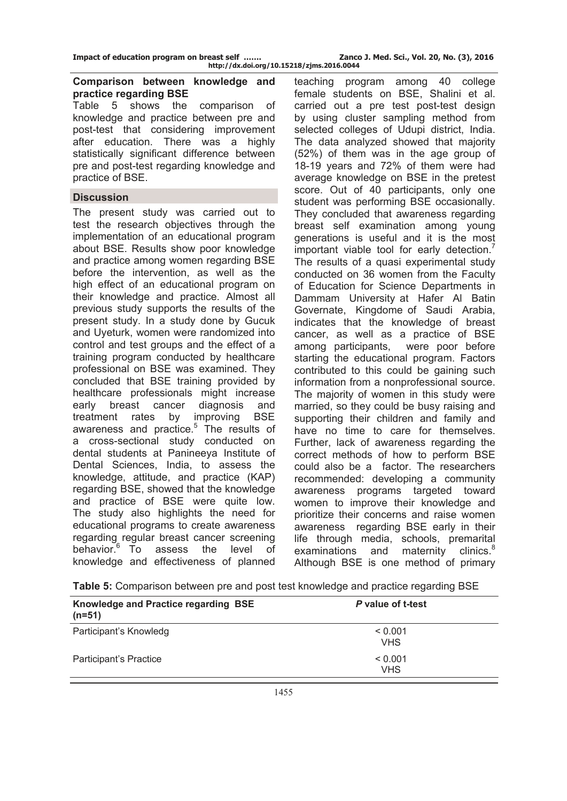#### **Comparison between knowledge and practice regarding BSE**

Table 5 shows the comparison of knowledge and practice between pre and post-test that considering improvement after education. There was a highly statistically significant difference between pre and post-test regarding knowledge and practice of BSE.

## **Discussion**

The present study was carried out to test the research objectives through the implementation of an educational program about BSE. Results show poor knowledge and practice among women regarding BSE before the intervention, as well as the high effect of an educational program on their knowledge and practice. Almost all previous study supports the results of the present study. In a study done by Gucuk and Uyeturk, women were randomized into control and test groups and the effect of a training program conducted by healthcare professional on BSE was examined. They concluded that BSE training provided by healthcare professionals might increase early breast cancer diagnosis and treatment rates by improving BSE awareness and practice.<sup>5</sup> The results of a cross-sectional study conducted on dental students at Panineeya Institute of Dental Sciences, India, to assess the knowledge, attitude, and practice (KAP) regarding BSE, showed that the knowledge and practice of BSE were quite low. The study also highlights the need for educational programs to create awareness regarding regular breast cancer screening behavior.<sup>6</sup> To assess the level of knowledge and effectiveness of planned

teaching program among 40 college female students on BSE, Shalini et al. carried out a pre test post-test design by using cluster sampling method from selected colleges of Udupi district, India. The data analyzed showed that majority (52%) of them was in the age group of 18-19 years and 72% of them were had average knowledge on BSE in the pretest score. Out of 40 participants, only one student was performing BSE occasionally. They concluded that awareness regarding breast self examination among young generations is useful and it is the most important viable tool for early detection.<sup>7</sup> The results of a quasi experimental study conducted on 36 women from the Faculty of Education for Science Departments in Dammam University at Hafer Al Batin Governate, Kingdome of Saudi Arabia, indicates that the knowledge of breast cancer, as well as a practice of BSE among participants, were poor before starting the educational program. Factors contributed to this could be gaining such information from a nonprofessional source. The majority of women in this study were married, so they could be busy raising and supporting their children and family and have no time to care for themselves. Further, lack of awareness regarding the correct methods of how to perform BSE could also be a factor. The researchers recommended: developing a community awareness programs targeted toward women to improve their knowledge and prioritize their concerns and raise women awareness regarding BSE early in their life through media, schools, premarital examinations and maternity clinics. $8$ Although BSE is one method of primary

**Table 5:** Comparison between pre and post test knowledge and practice regarding BSE

| Knowledge and Practice regarding BSE<br>$(n=51)$ | P value of t-test     |  |
|--------------------------------------------------|-----------------------|--|
| Participant's Knowledg                           | < 0.001<br><b>VHS</b> |  |
| Participant's Practice                           | < 0.001<br><b>VHS</b> |  |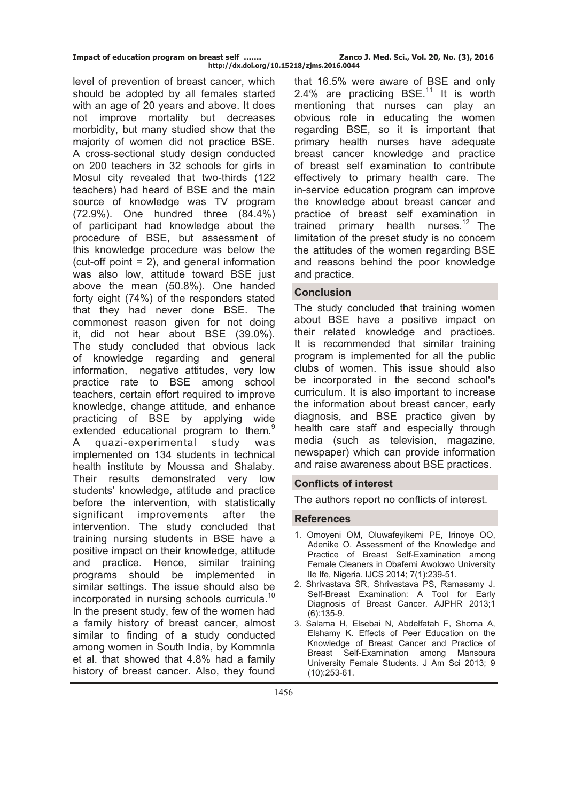level of prevention of breast cancer, which should be adopted by all females started with an age of 20 years and above. It does not improve mortality but decreases morbidity, but many studied show that the majority of women did not practice BSE. A cross-sectional study design conducted on 200 teachers in 32 schools for girls in Mosul city revealed that two-thirds (122 teachers) had heard of BSE and the main source of knowledge was TV program (72.9%). One hundred three (84.4%) of participant had knowledge about the procedure of BSE, but assessment of this knowledge procedure was below the (cut-off point = 2), and general information was also low, attitude toward BSE just above the mean (50.8%). One handed forty eight (74%) of the responders stated that they had never done BSE. The commonest reason given for not doing it, did not hear about BSE (39.0%). The study concluded that obvious lack of knowledge regarding and general information, negative attitudes, very low practice rate to BSE among school teachers, certain effort required to improve knowledge, change attitude, and enhance practicing of BSE by applying wide extended educational program to them.<sup>9</sup> A quazi-experimental study was implemented on 134 students in technical health institute by Moussa and Shalaby. Their results demonstrated very low students' knowledge, attitude and practice before the intervention, with statistically significant improvements after the intervention. The study concluded that training nursing students in BSE have a positive impact on their knowledge, attitude and practice. Hence, similar training programs should be implemented in similar settings. The issue should also be incorporated in nursing schools curricula.<sup>10</sup> In the present study, few of the women had a family history of breast cancer, almost similar to finding of a study conducted among women in South India, by Kommnla et al. that showed that 4.8% had a family history of breast cancer. Also, they found

that 16.5% were aware of BSE and only 2.4% are practicing BSE.<sup>11</sup> It is worth mentioning that nurses can play an obvious role in educating the women regarding BSE, so it is important that primary health nurses have adequate breast cancer knowledge and practice of breast self examination to contribute effectively to primary health care. The in-service education program can improve the knowledge about breast cancer and practice of breast self examination in trained primary health nurses. $12$  The limitation of the preset study is no concern the attitudes of the women regarding BSE and reasons behind the poor knowledge and practice.

# **Conclusion**

The study concluded that training women about BSE have a positive impact on their related knowledge and practices. It is recommended that similar training program is implemented for all the public clubs of women. This issue should also be incorporated in the second school's curriculum. It is also important to increase the information about breast cancer, early diagnosis, and BSE practice given by health care staff and especially through media (such as television, magazine, newspaper) which can provide information and raise awareness about BSE practices.

# **Conflicts of interest**

The authors report no conflicts of interest.

# **References**

- 1. Omoyeni OM, Oluwafeyikemi PE, Irinoye OO, Adenike O. Assessment of the Knowledge and Practice of Breast Self-Examination among Female Cleaners in Obafemi Awolowo University Ile Ife, Nigeria. IJCS 2014; 7(1):239-51.
- 2. Shrivastava SR, Shrivastava PS, Ramasamy J. Self-Breast Examination: A Tool for Early Diagnosis of Breast Cancer. AJPHR 2013;1 (6):135-9.
- 3. Salama H, Elsebai N, Abdelfatah F, Shoma A, Elshamy K. Effects of Peer Education on the Knowledge of Breast Cancer and Practice of Breast Self-Examination among Mansoura University Female Students. J Am Sci 2013; 9 (10):253-61.